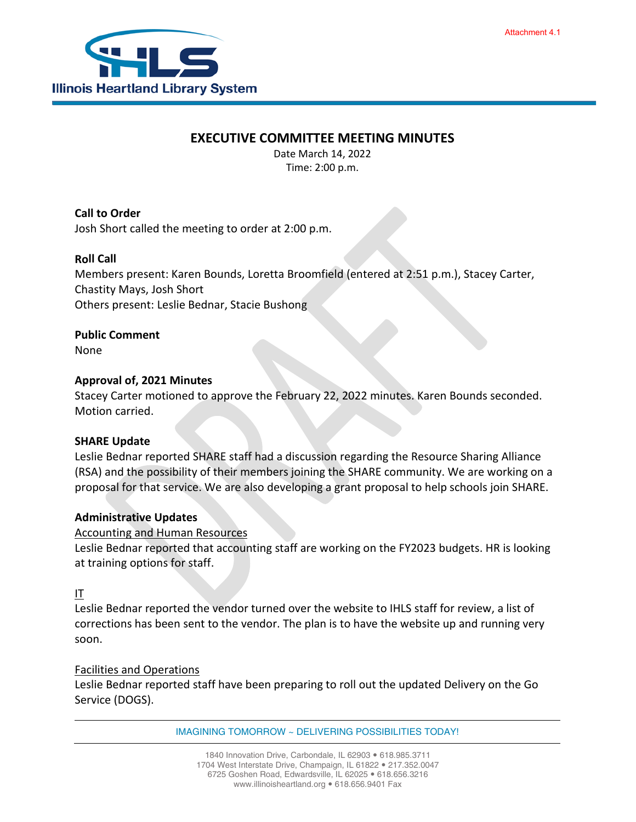# **EXECUTIVE COMMITTEE MEETING MINUTES**

Date March 14, 2022 Time: 2:00 p.m.

**Call to Order** Josh Short called the meeting to order at 2:00 p.m.

## **Roll Call**

Members present: Karen Bounds, Loretta Broomfield (entered at 2:51 p.m.), Stacey Carter, Chastity Mays, Josh Short Others present: Leslie Bednar, Stacie Bushong

**Public Comment**

None

## **Approval of, 2021 Minutes**

Stacey Carter motioned to approve the February 22, 2022 minutes. Karen Bounds seconded. Motion carried.

## **SHARE Update**

Leslie Bednar reported SHARE staff had a discussion regarding the Resource Sharing Alliance (RSA) and the possibility of their members joining the SHARE community. We are working on a proposal for that service. We are also developing a grant proposal to help schools join SHARE.

## **Administrative Updates**

## Accounting and Human Resources

Leslie Bednar reported that accounting staff are working on the FY2023 budgets. HR is looking at training options for staff.

## IT

Leslie Bednar reported the vendor turned over the website to IHLS staff for review, a list of corrections has been sent to the vendor. The plan is to have the website up and running very soon.

## Facilities and Operations

Leslie Bednar reported staff have been preparing to roll out the updated Delivery on the Go Service (DOGS).

IMAGINING TOMORROW ~ DELIVERING POSSIBILITIES TODAY!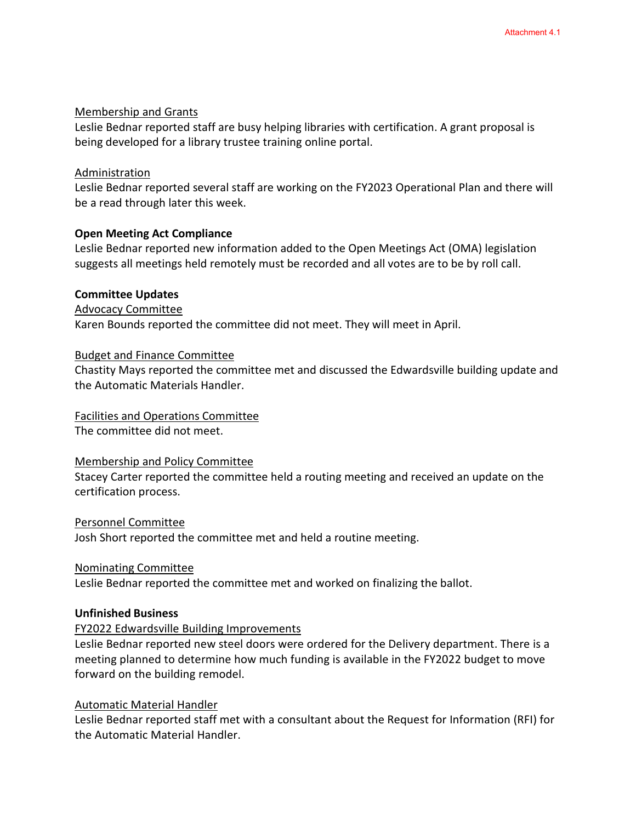#### Membership and Grants

Leslie Bednar reported staff are busy helping libraries with certification. A grant proposal is being developed for a library trustee training online portal.

#### Administration

Leslie Bednar reported several staff are working on the FY2023 Operational Plan and there will be a read through later this week.

## **Open Meeting Act Compliance**

Leslie Bednar reported new information added to the Open Meetings Act (OMA) legislation suggests all meetings held remotely must be recorded and all votes are to be by roll call.

#### **Committee Updates**

Advocacy Committee

Karen Bounds reported the committee did not meet. They will meet in April.

#### Budget and Finance Committee

Chastity Mays reported the committee met and discussed the Edwardsville building update and the Automatic Materials Handler.

#### Facilities and Operations Committee

The committee did not meet.

#### Membership and Policy Committee

Stacey Carter reported the committee held a routing meeting and received an update on the certification process.

#### Personnel Committee

Josh Short reported the committee met and held a routine meeting.

#### Nominating Committee

Leslie Bednar reported the committee met and worked on finalizing the ballot.

#### **Unfinished Business**

## FY2022 Edwardsville Building Improvements

Leslie Bednar reported new steel doors were ordered for the Delivery department. There is a meeting planned to determine how much funding is available in the FY2022 budget to move forward on the building remodel.

## Automatic Material Handler

Leslie Bednar reported staff met with a consultant about the Request for Information (RFI) for the Automatic Material Handler.